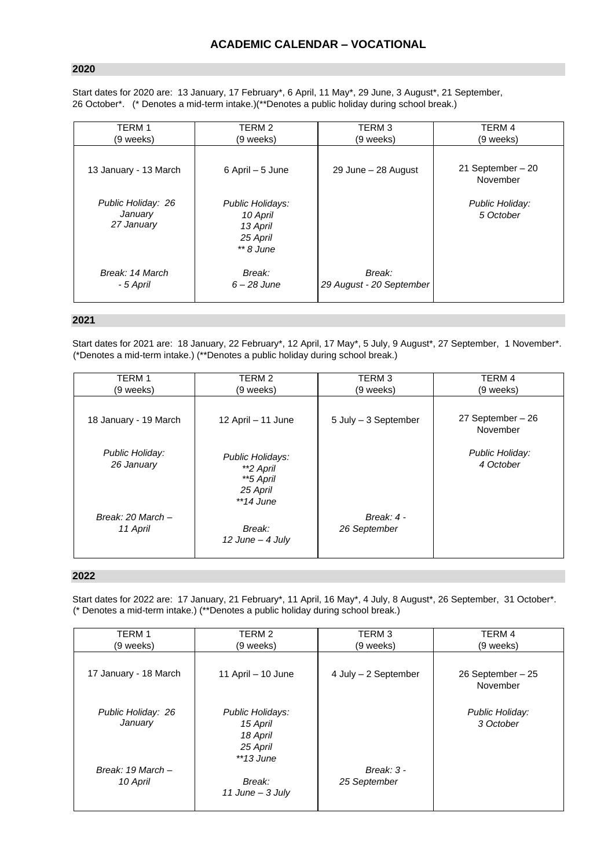## **2020**

Start dates for 2020 are: 13 January, 17 February\*, 6 April, 11 May\*, 29 June, 3 August\*, 21 September, 26 October\*. (\* Denotes a mid-term intake.)(\*\*Denotes a public holiday during school break.)

| <b>TERM1</b>                                | TERM 2                                                              | TERM <sub>3</sub>                  | TERM 4                         |
|---------------------------------------------|---------------------------------------------------------------------|------------------------------------|--------------------------------|
| (9 weeks)                                   | (9 weeks)                                                           | (9 weeks)                          | (9 weeks)                      |
| 13 January - 13 March                       | 6 April – 5 June                                                    | 29 June - 28 August                | 21 September $-20$<br>November |
| Public Holiday: 26<br>January<br>27 January | Public Holidays:<br>10 April<br>13 April<br>25 April<br>$**$ 8 June |                                    | Public Holiday:<br>5 October   |
| Break: 14 March<br>- 5 April                | Break:<br>$6 - 28$ June                                             | Break:<br>29 August - 20 September |                                |

## **2021**

Start dates for 2021 are: 18 January, 22 February\*, 12 April, 17 May\*, 5 July, 9 August\*, 27 September, 1 November\*. (\*Denotes a mid-term intake.) (\*\*Denotes a public holiday during school break.)

| TERM 1                        | TERM 2                                                                | TERM <sub>3</sub>          | TERM 4                        |
|-------------------------------|-----------------------------------------------------------------------|----------------------------|-------------------------------|
| (9 weeks)                     | (9 weeks)                                                             | (9 weeks)                  | (9 weeks)                     |
| 18 January - 19 March         | 12 April - 11 June                                                    | 5 July - 3 September       | 27 September - 26<br>November |
| Public Holiday:<br>26 January | Public Holidays:<br>**2 April<br>**5 April<br>25 April<br>$*$ 14 June |                            | Public Holiday:<br>4 October  |
| Break: 20 March -<br>11 April | Break:<br>$12$ June - 4 July                                          | Break: 4 -<br>26 September |                               |

## **2022**

Start dates for 2022 are: 17 January, 21 February\*, 11 April, 16 May\*, 4 July, 8 August\*, 26 September, 31 October\*. (\* Denotes a mid-term intake.) (\*\*Denotes a public holiday during school break.)

| <b>TERM1</b>                  | TERM 2                                               | TERM <sub>3</sub>            | TERM 4                        |
|-------------------------------|------------------------------------------------------|------------------------------|-------------------------------|
| (9 weeks)                     | (9 weeks)                                            | (9 weeks)                    | (9 weeks)                     |
| 17 January - 18 March         | 11 April - 10 June                                   | 4 July - 2 September         | 26 September - 25<br>November |
| Public Holiday: 26<br>January | Public Holidays:<br>15 April<br>18 April<br>25 April |                              | Public Holiday:<br>3 October  |
| Break: 19 March -<br>10 April | $*13$ June<br>Break:<br>11 June $-$ 3 July           | Break: $3 -$<br>25 September |                               |